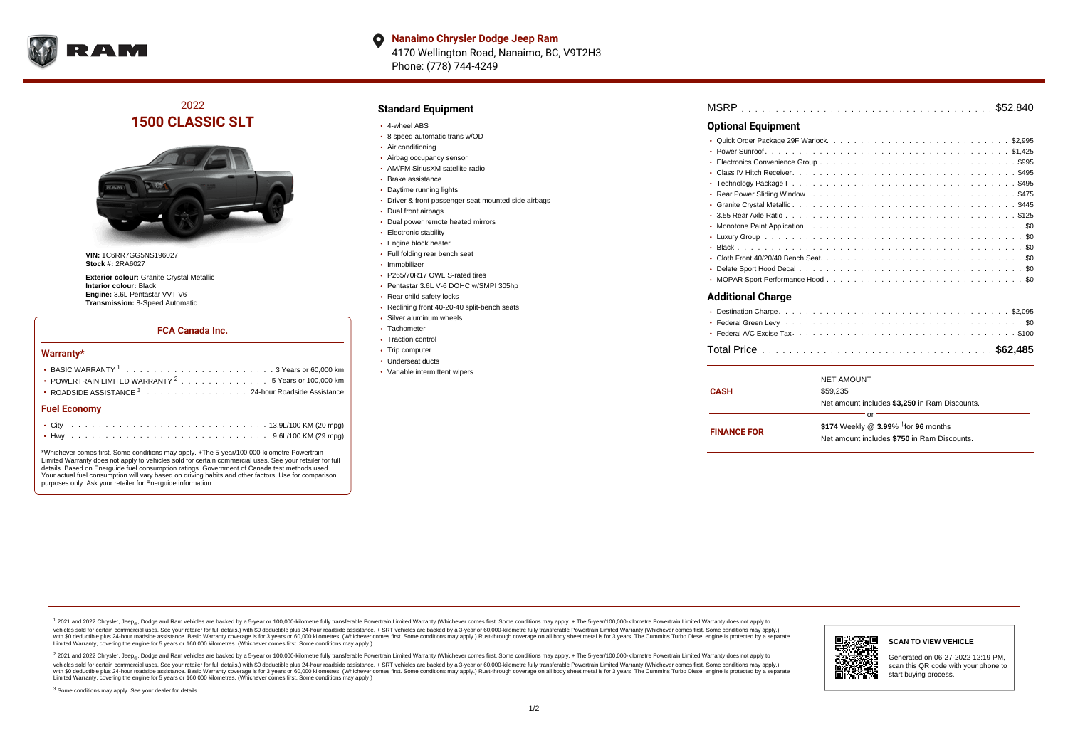

**Nanaimo Chrysler Dodge Jeep Ram**  $\bullet$ 4170 Wellington Road, Nanaimo, BC, V9T2H3 Phone: (778) 744-4249

## 2022 **1500 CLASSIC SLT**



**VIN:** 1C6RR7GG5NS196027 **Stock #:** 2RA6027

**Exterior colour:** Granite Crystal Metallic **Interior colour:** Black **Engine:** 3.6L Pentastar VVT V6 **Transmission:** 8-Speed Automatic

#### **FCA Canada Inc.**

#### **Warranty\***

| POWERTRAIN LIMITED WARRANTY $2 \ldots \ldots \ldots \ldots \ldots 5$ Years or 100,000 km<br>• ROADSIDE ASSISTANCE 3 24-hour Roadside Assistance |  |  |  |  |  |  |  |  |  |  |  |  |  |  |  |  |  |  |  |  |  |
|-------------------------------------------------------------------------------------------------------------------------------------------------|--|--|--|--|--|--|--|--|--|--|--|--|--|--|--|--|--|--|--|--|--|
| <b>Fuel Economy</b>                                                                                                                             |  |  |  |  |  |  |  |  |  |  |  |  |  |  |  |  |  |  |  |  |  |
|                                                                                                                                                 |  |  |  |  |  |  |  |  |  |  |  |  |  |  |  |  |  |  |  |  |  |
|                                                                                                                                                 |  |  |  |  |  |  |  |  |  |  |  |  |  |  |  |  |  |  |  |  |  |

\*Whichever comes first. Some conditions may apply. +The 5-year/100,000-kilometre Powertrain Limited Warranty does not apply to vehicles sold for certain commercial uses. See your retailer for full details. Based on Energuide fuel consumption ratings. Government of Canada test methods used. Your actual fuel consumption will vary based on driving habits and other factors. Use for comparison purposes only. Ask your retailer for Energuide information.

### **Standard Equipment**

- 4-wheel ABS
- 8 speed automatic trans w/OD
- Air conditioning
- Airbag occupancy sensor
- AM/FM SiriusXM satellite radio
- Brake assistance
- Daytime running lights
- Driver & front passenger seat mounted side airbags
- Dual front airbags
- Dual power remote heated mirrors
- Electronic stability
- Engine block heater
- Full folding rear bench seat
- · Immobilizer
- P265/70R17 OWL S-rated tires
- Pentastar 3.6L V-6 DOHC w/SMPI 305hp
- Rear child safety locks
- Reclining front 40-20-40 split-bench seats
- Silver aluminum wheels
- Tachometer
- Traction control • Trip computer
- Underseat ducts
- Variable intermittent wipers

| MSRP |  |
|------|--|
|------|--|

#### **Optional Equipment**

| ٠                        |
|--------------------------|
| $\bullet$                |
| ٠                        |
|                          |
|                          |
|                          |
|                          |
|                          |
|                          |
|                          |
|                          |
| $\bullet$                |
|                          |
| <b>Additional Charge</b> |
|                          |
|                          |
|                          |
|                          |

|                    | <b>NET AMOUNT</b>                                                                                 |  |  |  |  |  |  |  |
|--------------------|---------------------------------------------------------------------------------------------------|--|--|--|--|--|--|--|
| CASH               | \$59,235                                                                                          |  |  |  |  |  |  |  |
|                    | Net amount includes \$3,250 in Ram Discounts.                                                     |  |  |  |  |  |  |  |
|                    | nr                                                                                                |  |  |  |  |  |  |  |
| <b>FINANCE FOR</b> | \$174 Weekly @ $3.99\%$ <sup>†</sup> for 96 months<br>Net amount includes \$750 in Ram Discounts. |  |  |  |  |  |  |  |
|                    |                                                                                                   |  |  |  |  |  |  |  |
|                    |                                                                                                   |  |  |  |  |  |  |  |

<sup>1</sup> 2021 and 2022 Chrysler, Jeep<sub>®</sub>, Dodge and Ram vehicles are backed by a 5-year or 100,000-kilometre fully transferable Powertrain Limited Warranty (Whichever comes first. Some conditions may apply. + The 5-year/100,000 vehicles sold for certain commercial uses. See your retailer for full details.) with \$0 deductible plus 24 hour roadside assistance. + SRT vehicles are backed by a 3-year or 60,000-kilometre fully transferable Powertrain L versus and contract the mean of the contract of the contract with a contract with a contract the contract of the contract of the contract the contract of the contract of the contract of the contract of the contract of the Limited Warranty, covering the engine for 5 years or 160,000 kilometres. (Whichever comes first. Some conditions may apply.)

2 2021 and 2022 Chrysler, Jeep<sub>®</sub>, Dodge and Ram vehicles are backed by a 5-year or 100,000-kilometre fully transferable Powertrain Limited Warranty (Whichever comes first. Some conditions may apply. + The 5-year/100,000-k vehicles sold for certain commercial uses. See your retailer for full details.) with SO deductible plus 24-hour roadside assistance. + SRT vehicles are backed by a 3-year or 60.000-kilometre fully transferable Powertrain. with S0 deductible plus 24-hour roadside assistance. Basic Warranty coverage is for 3 years or 60,000 kilometres. (Whichever comes first. Some conditions may apply.) Rust-through coverage on all body sheet metal is for 3 y





Generated on 06-27-2022 12:19 PM, scan this QR code with your phone to start buying process.